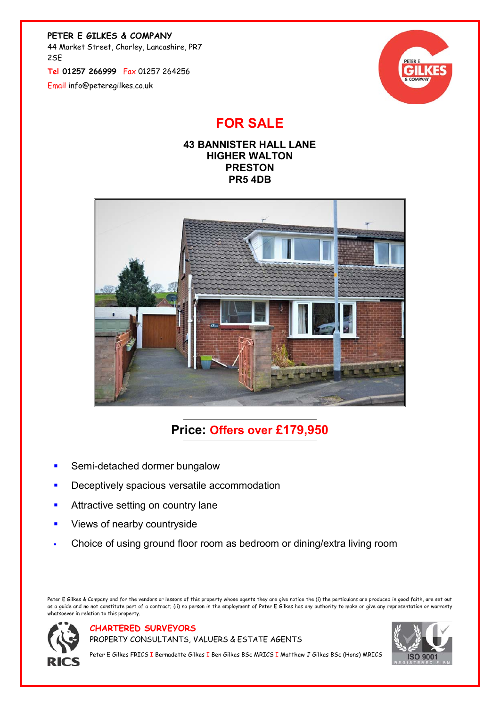PETER E GILKES & COMPANY

44 Market Street, Chorley, Lancashire, PR7 2SE

Tel 01257 266999 Fax 01257 264256

Email info@peteregilkes.co.uk



## FOR SALE





# Price: Offers over £179,950

- Semi-detached dormer bungalow
- Deceptively spacious versatile accommodation
- **Attractive setting on country lane**
- **Views of nearby countryside**
- Choice of using ground floor room as bedroom or dining/extra living room

Peter E Gilkes & Company and for the vendors or lessors of this property whose agents they are give notice the (i) the particulars are produced in good faith, are set out as a guide and no not constitute part of a contract; (ii) no person in the employment of Peter E Gilkes has any authority to make or give any representation or warranty regency<br>hatsoever in relation to this property.



CHARTERED SURVEYORS

PROPERTY CONSULTANTS, VALUERS & ESTATE AGENTS



Peter E Gilkes FRICS I Bernadette Gilkes I Ben Gilkes BSc MRICS I Matthew J Gilkes BSc (Hons) MRICS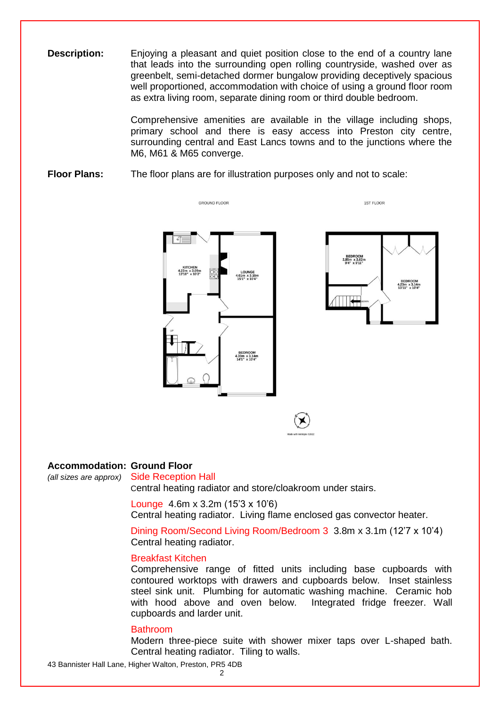**Description:** Enjoying a pleasant and quiet position close to the end of a country lane that leads into the surrounding open rolling countryside, washed over as greenbelt, semi-detached dormer bungalow providing deceptively spacious well proportioned, accommodation with choice of using a ground floor room as extra living room, separate dining room or third double bedroom.

> Comprehensive amenities are available in the village including shops, primary school and there is easy access into Preston city centre, surrounding central and East Lancs towns and to the junctions where the M6, M61 & M65 converge.

### **Floor Plans:** The floor plans are for illustration purposes only and not to scale:





1ST FLOOR

#### **Accommodation: Ground Floor**

*(all sizes are approx)* Side Reception Hall Central heating radiator and store/cloakroom under stairs.

> Lounge 4.6m x 3.2m (15'3 x 10'6) Central heating radiator. Living flame enclosed gas convector heater.

Dining Room/Second Living Room/Bedroom 3 3.8m x 3.1m (12'7 x 10'4) Central heating radiator.

#### Breakfast Kitchen

Comprehensive range of fitted units including base cupboards with contoured worktops with drawers and cupboards below. Inset stainless steel sink unit. Plumbing for automatic washing machine. Ceramic hob with hood above and oven below. Integrated fridge freezer. Wall cupboards and larder unit.

#### Bathroom

Modern three-piece suite with shower mixer taps over L-shaped bath. Central heating radiator. Tiling to walls.

43 Bannister Hall Lane, Higher Walton, Preston, PR5 4DB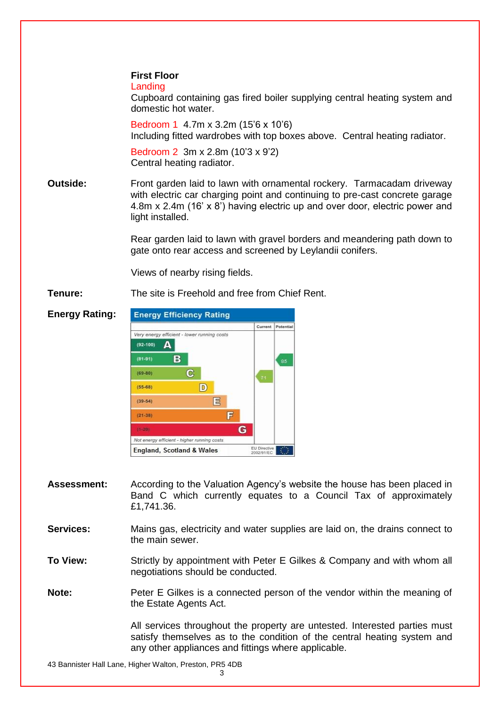Landing

Cupboard containing gas fired boiler supplying central heating system and domestic hot water.

Bedroom 1 4.7m x 3.2m (15'6 x 10'6) Including fitted wardrobes with top boxes above. Central heating radiator.

Bedroom 2 3m x 2.8m (10'3 x 9'2) Central heating radiator.

**Outside:** Front garden laid to lawn with ornamental rockery. Tarmacadam driveway with electric car charging point and continuing to pre-cast concrete garage 4.8m x 2.4m (16' x 8') having electric up and over door, electric power and light installed.

> Rear garden laid to lawn with gravel borders and meandering path down to gate onto rear access and screened by Leylandii conifers.

Views of nearby rising fields.

**Tenure:** The site is Freehold and free from Chief Rent.



- **Assessment:** According to the Valuation Agency's website the house has been placed in Band C which currently equates to a Council Tax of approximately £1,741.36.
- **Services:** Mains gas, electricity and water supplies are laid on, the drains connect to the main sewer.
- **To View:** Strictly by appointment with Peter E Gilkes & Company and with whom all negotiations should be conducted.

**Note:** Peter E Gilkes is a connected person of the vendor within the meaning of the Estate Agents Act.

> All services throughout the property are untested. Interested parties must satisfy themselves as to the condition of the central heating system and any other appliances and fittings where applicable.

43 Bannister Hall Lane, Higher Walton, Preston, PR5 4DB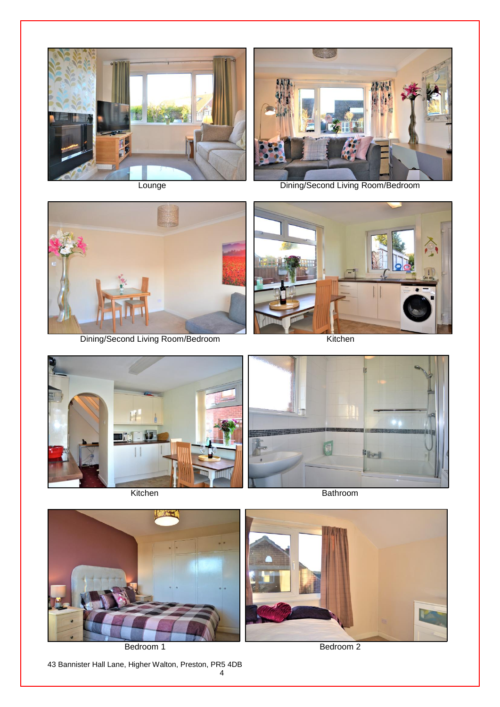



Lounge Dining/Second Living Room/Bedroom



Dining/Second Living Room/Bedroom Kitchen







Bedroom 1 Bedroom 2

43 Bannister Hall Lane, Higher Walton, Preston, PR5 4DB

4